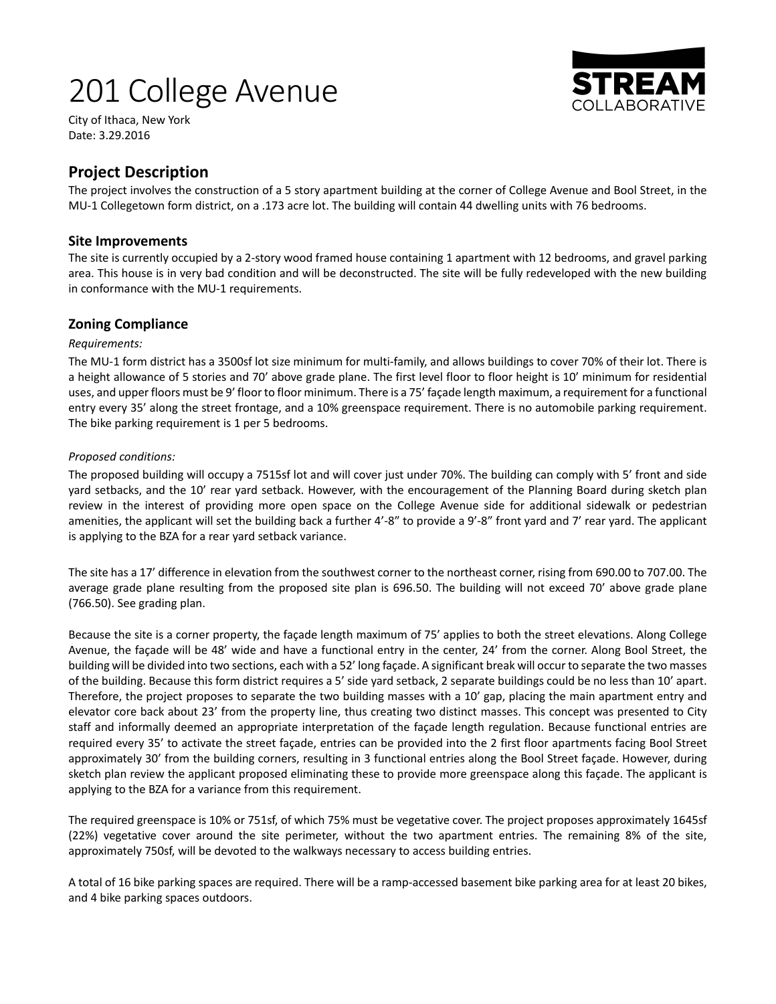# 201 College Avenue



City of Ithaca, New York Date: 3.29.2016

# **Project Description**

The project involves the construction of a 5 story apartment building at the corner of College Avenue and Bool Street, in the MU-1 Collegetown form district, on a .173 acre lot. The building will contain 44 dwelling units with 76 bedrooms.

## **Site Improvements**

The site is currently occupied by a 2‐story wood framed house containing 1 apartment with 12 bedrooms, and gravel parking area. This house is in very bad condition and will be deconstructed. The site will be fully redeveloped with the new building in conformance with the MU‐1 requirements.

# **Zoning Compliance**

#### *Requirements:*

The MU-1 form district has a 3500sf lot size minimum for multi-family, and allows buildings to cover 70% of their lot. There is a height allowance of 5 stories and 70' above grade plane. The first level floor to floor height is 10' minimum for residential uses, and upper floors must be 9' floor to floor minimum. There is a 75' façade length maximum, a requirement for a functional entry every 35' along the street frontage, and a 10% greenspace requirement. There is no automobile parking requirement. The bike parking requirement is 1 per 5 bedrooms.

#### *Proposed conditions:*

The proposed building will occupy a 7515sf lot and will cover just under 70%. The building can comply with 5' front and side yard setbacks, and the 10' rear yard setback. However, with the encouragement of the Planning Board during sketch plan review in the interest of providing more open space on the College Avenue side for additional sidewalk or pedestrian amenities, the applicant will set the building back a further 4'-8" to provide a 9'-8" front yard and 7' rear yard. The applicant is applying to the BZA for a rear yard setback variance.

The site has a 17' difference in elevation from the southwest corner to the northeast corner, rising from 690.00 to 707.00. The average grade plane resulting from the proposed site plan is 696.50. The building will not exceed 70' above grade plane (766.50). See grading plan.

Because the site is a corner property, the façade length maximum of 75' applies to both the street elevations. Along College Avenue, the façade will be 48' wide and have a functional entry in the center, 24' from the corner. Along Bool Street, the building will be divided into two sections, each with a 52' long façade. A significant break will occur to separate the two masses of the building. Because this form district requires a 5' side yard setback, 2 separate buildings could be no less than 10' apart. Therefore, the project proposes to separate the two building masses with a 10' gap, placing the main apartment entry and elevator core back about 23' from the property line, thus creating two distinct masses. This concept was presented to City staff and informally deemed an appropriate interpretation of the façade length regulation. Because functional entries are required every 35' to activate the street façade, entries can be provided into the 2 first floor apartments facing Bool Street approximately 30' from the building corners, resulting in 3 functional entries along the Bool Street façade. However, during sketch plan review the applicant proposed eliminating these to provide more greenspace along this façade. The applicant is applying to the BZA for a variance from this requirement.

The required greenspace is 10% or 751sf, of which 75% must be vegetative cover. The project proposes approximately 1645sf (22%) vegetative cover around the site perimeter, without the two apartment entries. The remaining 8% of the site, approximately 750sf, will be devoted to the walkways necessary to access building entries.

A total of 16 bike parking spaces are required. There will be a ramp‐accessed basement bike parking area for at least 20 bikes, and 4 bike parking spaces outdoors.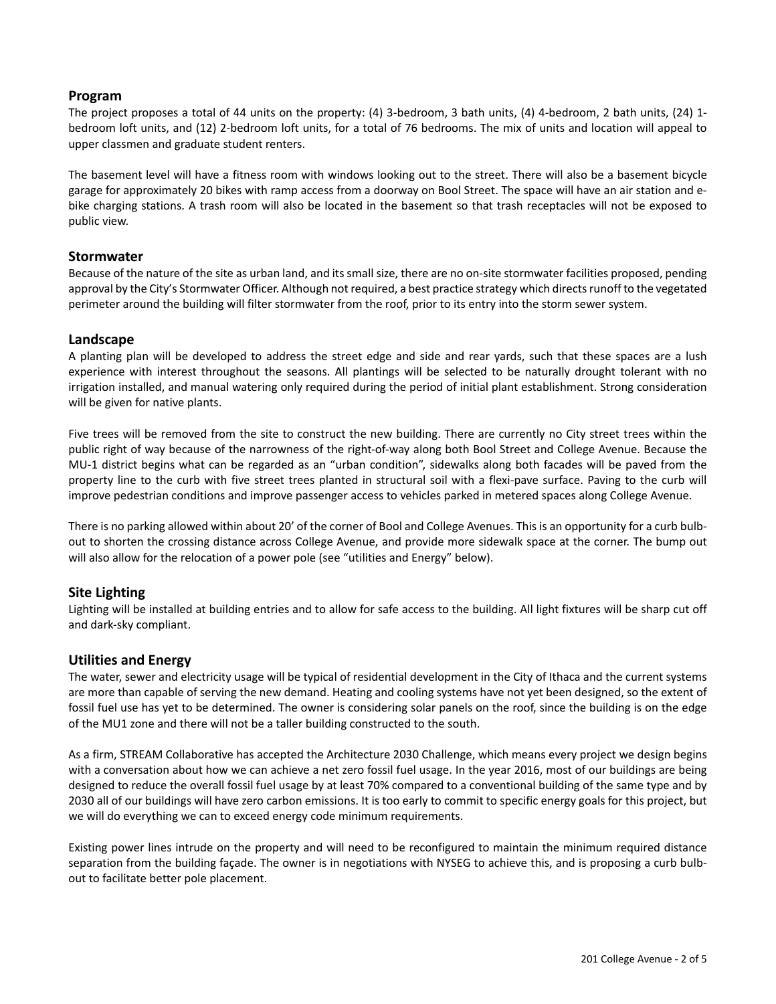#### **Program**

The project proposes a total of 44 units on the property:  $(4)$  3-bedroom, 3 bath units,  $(4)$  4-bedroom, 2 bath units,  $(24)$  1bedroom loft units, and (12) 2‐bedroom loft units, for a total of 76 bedrooms. The mix of units and location will appeal to upper classmen and graduate student renters.

The basement level will have a fitness room with windows looking out to the street. There will also be a basement bicycle garage for approximately 20 bikes with ramp access from a doorway on Bool Street. The space will have an air station and e‐ bike charging stations. A trash room will also be located in the basement so that trash receptacles will not be exposed to public view.

#### **Stormwater**

Because of the nature of the site as urban land, and its small size, there are no on‐site stormwater facilities proposed, pending approval by the City's Stormwater Officer. Although not required, a best practice strategy which directs runoff to the vegetated perimeter around the building will filter stormwater from the roof, prior to its entry into the storm sewer system.

#### **Landscape**

A planting plan will be developed to address the street edge and side and rear yards, such that these spaces are a lush experience with interest throughout the seasons. All plantings will be selected to be naturally drought tolerant with no irrigation installed, and manual watering only required during the period of initial plant establishment. Strong consideration will be given for native plants.

Five trees will be removed from the site to construct the new building. There are currently no City street trees within the public right of way because of the narrowness of the right‐of‐way along both Bool Street and College Avenue. Because the MU-1 district begins what can be regarded as an "urban condition", sidewalks along both facades will be paved from the property line to the curb with five street trees planted in structural soil with a flexi-pave surface. Paving to the curb will improve pedestrian conditions and improve passenger access to vehicles parked in metered spaces along College Avenue.

There is no parking allowed within about 20' of the corner of Bool and College Avenues. This is an opportunity for a curb bulbout to shorten the crossing distance across College Avenue, and provide more sidewalk space at the corner. The bump out will also allow for the relocation of a power pole (see "utilities and Energy" below).

## **Site Lighting**

Lighting will be installed at building entries and to allow for safe access to the building. All light fixtures will be sharp cut off and dark‐sky compliant.

## **Utilities and Energy**

The water, sewer and electricity usage will be typical of residential development in the City of Ithaca and the current systems are more than capable of serving the new demand. Heating and cooling systems have not yet been designed, so the extent of fossil fuel use has yet to be determined. The owner is considering solar panels on the roof, since the building is on the edge of the MU1 zone and there will not be a taller building constructed to the south.

As a firm, STREAM Collaborative has accepted the Architecture 2030 Challenge, which means every project we design begins with a conversation about how we can achieve a net zero fossil fuel usage. In the year 2016, most of our buildings are being designed to reduce the overall fossil fuel usage by at least 70% compared to a conventional building of the same type and by 2030 all of our buildings will have zero carbon emissions. It is too early to commit to specific energy goals for this project, but we will do everything we can to exceed energy code minimum requirements.

Existing power lines intrude on the property and will need to be reconfigured to maintain the minimum required distance separation from the building façade. The owner is in negotiations with NYSEG to achieve this, and is proposing a curb bulbout to facilitate better pole placement.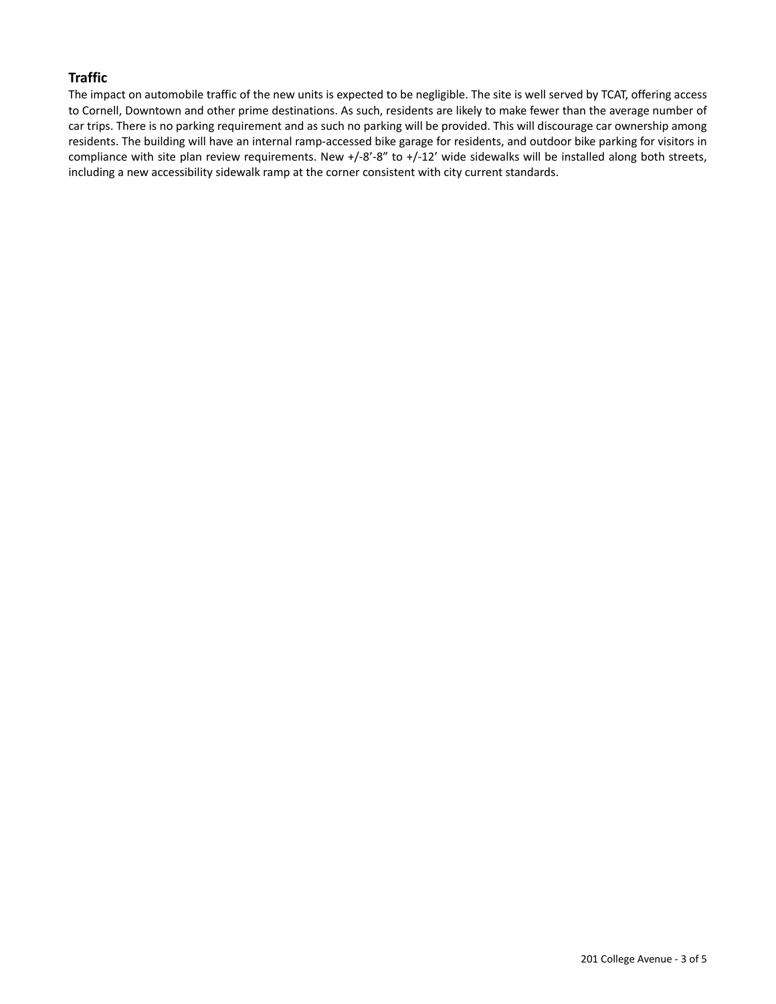# **Traffic**

The impact on automobile traffic of the new units is expected to be negligible. The site is well served by TCAT, offering access to Cornell, Downtown and other prime destinations. As such, residents are likely to make fewer than the average number of car trips. There is no parking requirement and as such no parking will be provided. This will discourage car ownership among residents. The building will have an internal ramp‐accessed bike garage for residents, and outdoor bike parking for visitors in compliance with site plan review requirements. New  $+/-8'-8''$  to  $+/-12'$  wide sidewalks will be installed along both streets, including a new accessibility sidewalk ramp at the corner consistent with city current standards.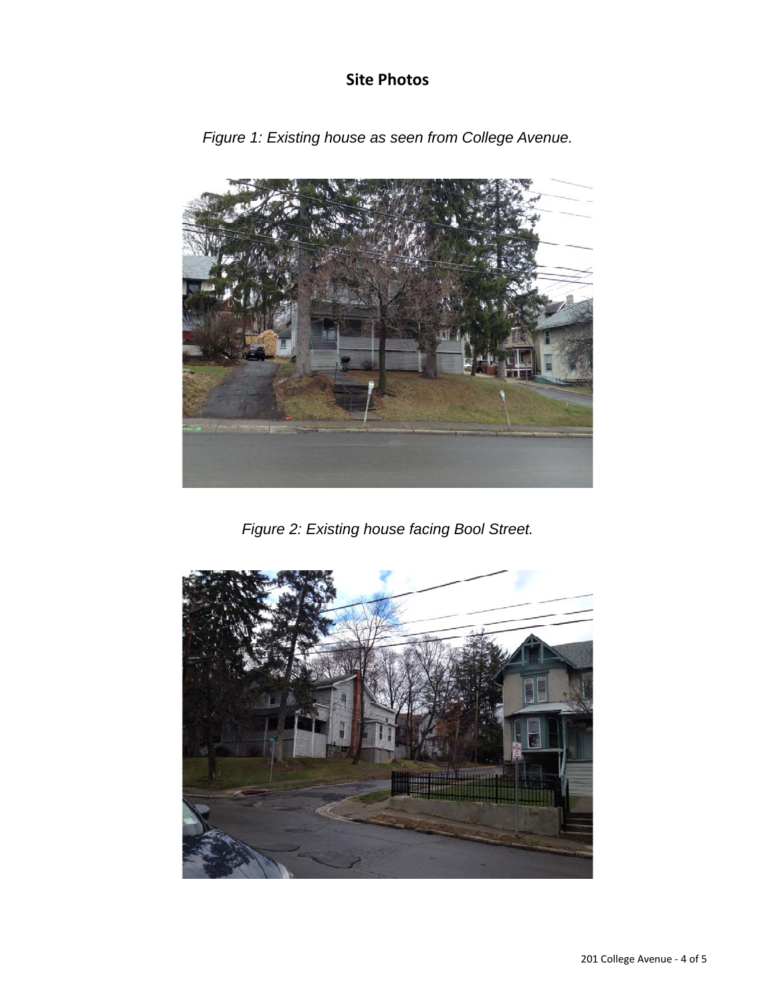# **Site Photos**



*Figure 1: Existing house as seen from College Avenue.* 

*Figure 2: Existing house facing Bool Street.*